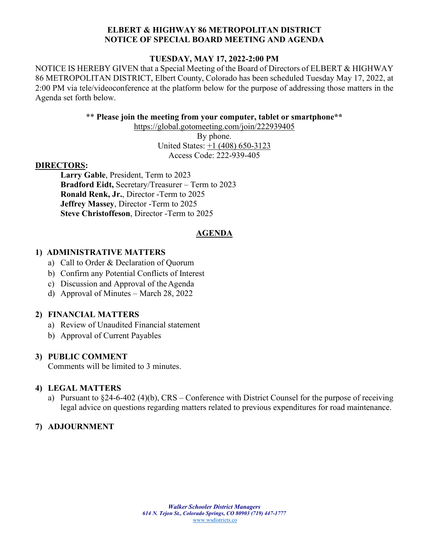#### **ELBERT & HIGHWAY 86 METROPOLITAN DISTRICT NOTICE OF SPECIAL BOARD MEETING AND AGENDA**

#### **TUESDAY, MAY 17, 2022-2:00 PM**

NOTICE IS HEREBY GIVEN that a Special Meeting of the Board of Directors of ELBERT & HIGHWAY 86 METROPOLITAN DISTRICT, Elbert County, Colorado has been scheduled Tuesday May 17, 2022, at 2:00 PM via tele/videoconference at the platform below for the purpose of addressing those matters in the Agenda set forth below.

#### \*\* **Please join the meeting from your computer, tablet or smartphone\*\***

<https://global.gotomeeting.com/join/222939405>

By phone.

United States: [+1 \(408\) 650-3123](tel:+14086503123,,222939405) Access Code: 222-939-405

#### **DIRECTORS:**

**Larry Gable**, President, Term to 2023 **Bradford Eidt,** Secretary/Treasurer – Term to 2023 **Ronald Renk, Jr.**, Director -Term to 2025 **Jeffrey Massey**, Director -Term to 2025 **Steve Christoffeson**, Director -Term to 2025

#### **AGENDA**

#### **1) ADMINISTRATIVE MATTERS**

- a) Call to Order & Declaration of Quorum
- b) Confirm any Potential Conflicts of Interest
- c) Discussion and Approval of theAgenda
- d) Approval of Minutes March 28, 2022

#### **2) FINANCIAL MATTERS**

- a) Review of Unaudited Financial statement
- b) Approval of Current Payables

#### **3) PUBLIC COMMENT**

Comments will be limited to 3 minutes.

#### **4) LEGAL MATTERS**

a) Pursuant to  $\{24-6-402\}$  (4)(b), CRS – Conference with District Counsel for the purpose of receiving legal advice on questions regarding matters related to previous expenditures for road maintenance.

#### **7) ADJOURNMENT**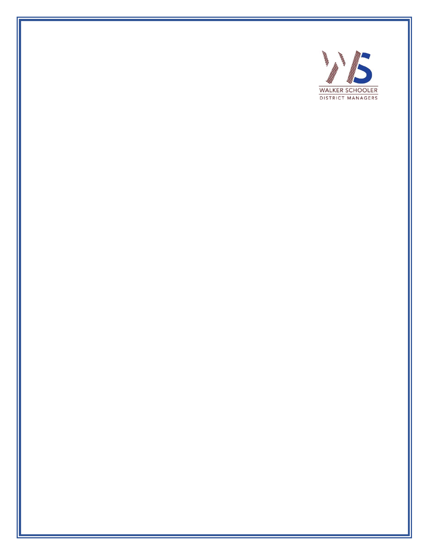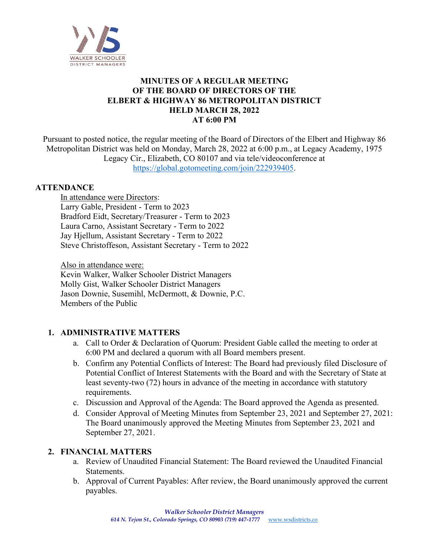

#### **MINUTES OF A REGULAR MEETING OF THE BOARD OF DIRECTORS OF THE ELBERT & HIGHWAY 86 METROPOLITAN DISTRICT HELD MARCH 28, 2022 AT 6:00 PM**

Pursuant to posted notice, the regular meeting of the Board of Directors of the Elbert and Highway 86 Metropolitan District was held on Monday, March 28, 2022 at 6:00 p.m., at Legacy Academy, 1975 Legacy Cir., Elizabeth, CO 80107 and via tele/videoconference at [https://global.gotomeeting.com/join/222939405.](https://global.gotomeeting.com/join/222939405)

#### **ATTENDANCE**

In attendance were Directors: Larry Gable, President - Term to 2023 Bradford Eidt, Secretary/Treasurer - Term to 2023 Laura Carno, Assistant Secretary - Term to 2022 Jay Hjellum, Assistant Secretary - Term to 2022 Steve Christoffeson, Assistant Secretary - Term to 2022

Also in attendance were:

Kevin Walker, Walker Schooler District Managers Molly Gist, Walker Schooler District Managers Jason Downie, Susemihl, McDermott, & Downie, P.C. Members of the Public

#### **1. ADMINISTRATIVE MATTERS**

- a. Call to Order & Declaration of Quorum: President Gable called the meeting to order at 6:00 PM and declared a quorum with all Board members present.
- b. Confirm any Potential Conflicts of Interest: The Board had previously filed Disclosure of Potential Conflict of Interest Statements with the Board and with the Secretary of State at least seventy-two (72) hours in advance of the meeting in accordance with statutory requirements.
- c. Discussion and Approval of the Agenda: The Board approved the Agenda as presented.
- d. Consider Approval of Meeting Minutes from September 23, 2021 and September 27, 2021: The Board unanimously approved the Meeting Minutes from September 23, 2021 and September 27, 2021.

#### **2. FINANCIAL MATTERS**

- a. Review of Unaudited Financial Statement: The Board reviewed the Unaudited Financial Statements.
- b. Approval of Current Payables: After review, the Board unanimously approved the current payables.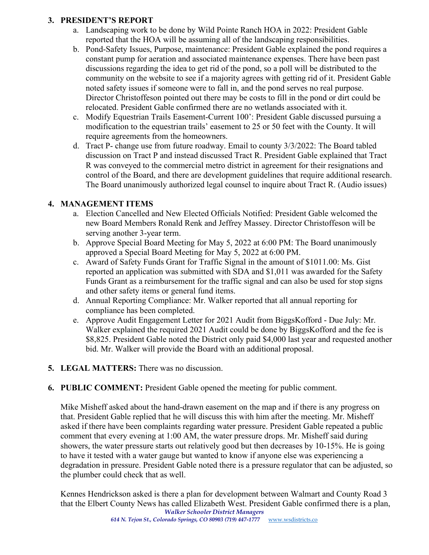#### **3. PRESIDENT'S REPORT**

- a. Landscaping work to be done by Wild Pointe Ranch HOA in 2022: President Gable reported that the HOA will be assuming all of the landscaping responsibilities.
- b. Pond-Safety Issues, Purpose, maintenance: President Gable explained the pond requires a constant pump for aeration and associated maintenance expenses. There have been past discussions regarding the idea to get rid of the pond, so a poll will be distributed to the community on the website to see if a majority agrees with getting rid of it. President Gable noted safety issues if someone were to fall in, and the pond serves no real purpose. Director Christoffeson pointed out there may be costs to fill in the pond or dirt could be relocated. President Gable confirmed there are no wetlands associated with it.
- c. Modify Equestrian Trails Easement-Current 100': President Gable discussed pursuing a modification to the equestrian trails' easement to 25 or 50 feet with the County. It will require agreements from the homeowners.
- d. Tract P- change use from future roadway. Email to county 3/3/2022: The Board tabled discussion on Tract P and instead discussed Tract R. President Gable explained that Tract R was conveyed to the commercial metro district in agreement for their resignations and control of the Board, and there are development guidelines that require additional research. The Board unanimously authorized legal counsel to inquire about Tract R. (Audio issues)

#### **4. MANAGEMENT ITEMS**

- a. Election Cancelled and New Elected Officials Notified: President Gable welcomed the new Board Members Ronald Renk and Jeffrey Massey. Director Christoffeson will be serving another 3-year term.
- b. Approve Special Board Meeting for May 5, 2022 at 6:00 PM: The Board unanimously approved a Special Board Meeting for May 5, 2022 at 6:00 PM.
- c. Award of Safety Funds Grant for Traffic Signal in the amount of \$1011.00: Ms. Gist reported an application was submitted with SDA and \$1,011 was awarded for the Safety Funds Grant as a reimbursement for the traffic signal and can also be used for stop signs and other safety items or general fund items.
- d. Annual Reporting Compliance: Mr. Walker reported that all annual reporting for compliance has been completed.
- e. Approve Audit Engagement Letter for 2021 Audit from BiggsKofford Due July: Mr. Walker explained the required 2021 Audit could be done by BiggsKofford and the fee is \$8,825. President Gable noted the District only paid \$4,000 last year and requested another bid. Mr. Walker will provide the Board with an additional proposal.

#### **5. LEGAL MATTERS:** There was no discussion.

**6. PUBLIC COMMENT:** President Gable opened the meeting for public comment.

Mike Misheff asked about the hand-drawn easement on the map and if there is any progress on that. President Gable replied that he will discuss this with him after the meeting. Mr. Misheff asked if there have been complaints regarding water pressure. President Gable repeated a public comment that every evening at 1:00 AM, the water pressure drops. Mr. Misheff said during showers, the water pressure starts out relatively good but then decreases by 10-15%. He is going to have it tested with a water gauge but wanted to know if anyone else was experiencing a degradation in pressure. President Gable noted there is a pressure regulator that can be adjusted, so the plumber could check that as well.

*Walker Schooler District Managers* Kennes Hendrickson asked is there a plan for development between Walmart and County Road 3 that the Elbert County News has called Elizabeth West. President Gable confirmed there is a plan,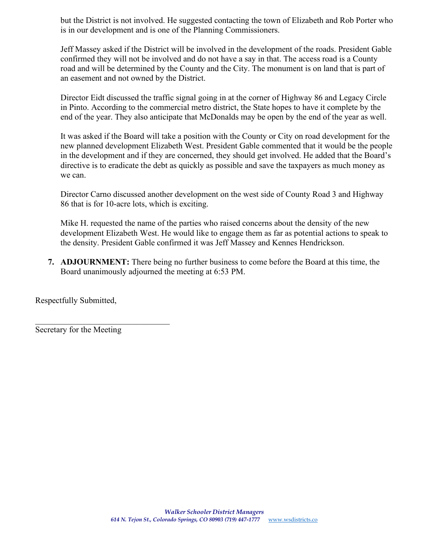but the District is not involved. He suggested contacting the town of Elizabeth and Rob Porter who is in our development and is one of the Planning Commissioners.

Jeff Massey asked if the District will be involved in the development of the roads. President Gable confirmed they will not be involved and do not have a say in that. The access road is a County road and will be determined by the County and the City. The monument is on land that is part of an easement and not owned by the District.

Director Eidt discussed the traffic signal going in at the corner of Highway 86 and Legacy Circle in Pinto. According to the commercial metro district, the State hopes to have it complete by the end of the year. They also anticipate that McDonalds may be open by the end of the year as well.

It was asked if the Board will take a position with the County or City on road development for the new planned development Elizabeth West. President Gable commented that it would be the people in the development and if they are concerned, they should get involved. He added that the Board's directive is to eradicate the debt as quickly as possible and save the taxpayers as much money as we can.

Director Carno discussed another development on the west side of County Road 3 and Highway 86 that is for 10-acre lots, which is exciting.

Mike H. requested the name of the parties who raised concerns about the density of the new development Elizabeth West. He would like to engage them as far as potential actions to speak to the density. President Gable confirmed it was Jeff Massey and Kennes Hendrickson.

**7. ADJOURNMENT:** There being no further business to come before the Board at this time, the Board unanimously adjourned the meeting at 6:53 PM.

Respectfully Submitted,

 $\mathcal{L}_\text{max}$  , where  $\mathcal{L}_\text{max}$  , we have the set of the set of the set of the set of the set of the set of the set of the set of the set of the set of the set of the set of the set of the set of the set of the set of Secretary for the Meeting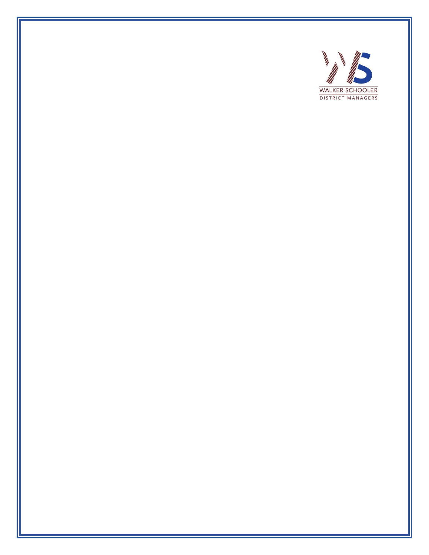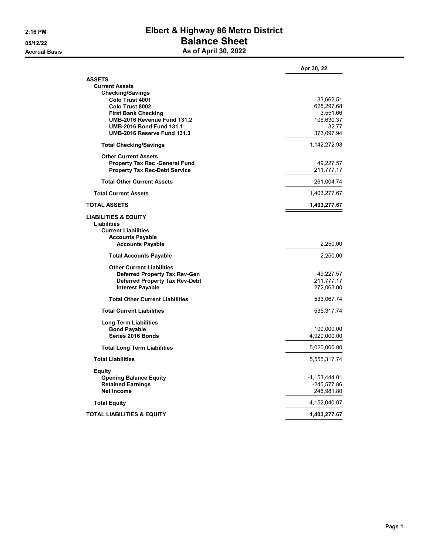### 2:16 PM Elbert & Highway 86 Metro District 05/12/22 Balance Sheet Accrual Basis **Accrual Basis** As of April 30, 2022

| <b>ASSETS</b><br><b>Current Assets</b><br><b>Checking/Savings</b><br>Colo Trust 4001<br>Colo Trust 8002<br><b>First Bank Checking</b><br>UMB-2016 Revenue Fund 131.2<br><b>UMB-2016 Bond Fund 131.1</b><br><b>UMB-2016 Reserve Fund 131.3</b><br><b>Total Checking/Savings</b><br><b>Other Current Assets</b><br><b>Property Tax Rec -General Fund</b><br><b>Property Tax Rec-Debt Service</b><br><b>Total Other Current Assets</b><br><b>Total Current Assets</b><br><b>TOTAL ASSETS</b><br><b>LIABILITIES &amp; EQUITY</b><br>Liabilities<br><b>Current Liabilities</b><br><b>Accounts Payable</b><br><b>Accounts Payable</b><br><b>Total Accounts Payable</b><br><b>Other Current Liabilities</b><br><b>Deferred Property Tax Rev-Gen</b><br><b>Deferred Property Tax Rev-Debt</b><br><b>Interest Payable</b><br><b>Total Other Current Liabilities</b><br><b>Total Current Liabilities</b><br>Long Term Liabilities<br><b>Bond Payable</b><br>Series 2016 Bonds<br><b>Total Long Term Liabilities</b><br><b>Total Liabilities</b><br><b>Equity</b><br><b>Opening Balance Equity</b><br><b>Retained Earnings</b><br><b>Net Income</b><br><b>Total Equity</b><br><b>TOTAL LIABILITIES &amp; EQUITY</b> | Apr 30, 22                            |
|----------------------------------------------------------------------------------------------------------------------------------------------------------------------------------------------------------------------------------------------------------------------------------------------------------------------------------------------------------------------------------------------------------------------------------------------------------------------------------------------------------------------------------------------------------------------------------------------------------------------------------------------------------------------------------------------------------------------------------------------------------------------------------------------------------------------------------------------------------------------------------------------------------------------------------------------------------------------------------------------------------------------------------------------------------------------------------------------------------------------------------------------------------------------------------------------------------|---------------------------------------|
|                                                                                                                                                                                                                                                                                                                                                                                                                                                                                                                                                                                                                                                                                                                                                                                                                                                                                                                                                                                                                                                                                                                                                                                                          |                                       |
|                                                                                                                                                                                                                                                                                                                                                                                                                                                                                                                                                                                                                                                                                                                                                                                                                                                                                                                                                                                                                                                                                                                                                                                                          |                                       |
|                                                                                                                                                                                                                                                                                                                                                                                                                                                                                                                                                                                                                                                                                                                                                                                                                                                                                                                                                                                                                                                                                                                                                                                                          |                                       |
|                                                                                                                                                                                                                                                                                                                                                                                                                                                                                                                                                                                                                                                                                                                                                                                                                                                                                                                                                                                                                                                                                                                                                                                                          | 33,662.51<br>625,297.68               |
|                                                                                                                                                                                                                                                                                                                                                                                                                                                                                                                                                                                                                                                                                                                                                                                                                                                                                                                                                                                                                                                                                                                                                                                                          | 3,551.66                              |
|                                                                                                                                                                                                                                                                                                                                                                                                                                                                                                                                                                                                                                                                                                                                                                                                                                                                                                                                                                                                                                                                                                                                                                                                          | 106,630.37                            |
|                                                                                                                                                                                                                                                                                                                                                                                                                                                                                                                                                                                                                                                                                                                                                                                                                                                                                                                                                                                                                                                                                                                                                                                                          | 32.77                                 |
|                                                                                                                                                                                                                                                                                                                                                                                                                                                                                                                                                                                                                                                                                                                                                                                                                                                                                                                                                                                                                                                                                                                                                                                                          | 373,097.94                            |
|                                                                                                                                                                                                                                                                                                                                                                                                                                                                                                                                                                                                                                                                                                                                                                                                                                                                                                                                                                                                                                                                                                                                                                                                          | 1,142,272.93                          |
|                                                                                                                                                                                                                                                                                                                                                                                                                                                                                                                                                                                                                                                                                                                                                                                                                                                                                                                                                                                                                                                                                                                                                                                                          |                                       |
|                                                                                                                                                                                                                                                                                                                                                                                                                                                                                                                                                                                                                                                                                                                                                                                                                                                                                                                                                                                                                                                                                                                                                                                                          | 49,227.57                             |
|                                                                                                                                                                                                                                                                                                                                                                                                                                                                                                                                                                                                                                                                                                                                                                                                                                                                                                                                                                                                                                                                                                                                                                                                          | 211,777.17                            |
|                                                                                                                                                                                                                                                                                                                                                                                                                                                                                                                                                                                                                                                                                                                                                                                                                                                                                                                                                                                                                                                                                                                                                                                                          | 261,004.74                            |
|                                                                                                                                                                                                                                                                                                                                                                                                                                                                                                                                                                                                                                                                                                                                                                                                                                                                                                                                                                                                                                                                                                                                                                                                          | 1,403,277.67                          |
|                                                                                                                                                                                                                                                                                                                                                                                                                                                                                                                                                                                                                                                                                                                                                                                                                                                                                                                                                                                                                                                                                                                                                                                                          | 1,403,277.67                          |
|                                                                                                                                                                                                                                                                                                                                                                                                                                                                                                                                                                                                                                                                                                                                                                                                                                                                                                                                                                                                                                                                                                                                                                                                          |                                       |
|                                                                                                                                                                                                                                                                                                                                                                                                                                                                                                                                                                                                                                                                                                                                                                                                                                                                                                                                                                                                                                                                                                                                                                                                          | 2,250.00                              |
|                                                                                                                                                                                                                                                                                                                                                                                                                                                                                                                                                                                                                                                                                                                                                                                                                                                                                                                                                                                                                                                                                                                                                                                                          | 2,250.00                              |
|                                                                                                                                                                                                                                                                                                                                                                                                                                                                                                                                                                                                                                                                                                                                                                                                                                                                                                                                                                                                                                                                                                                                                                                                          | 49,227.57<br>211,777.17<br>272,063.00 |
|                                                                                                                                                                                                                                                                                                                                                                                                                                                                                                                                                                                                                                                                                                                                                                                                                                                                                                                                                                                                                                                                                                                                                                                                          | 533,067.74                            |
|                                                                                                                                                                                                                                                                                                                                                                                                                                                                                                                                                                                                                                                                                                                                                                                                                                                                                                                                                                                                                                                                                                                                                                                                          | 535,317.74                            |
|                                                                                                                                                                                                                                                                                                                                                                                                                                                                                                                                                                                                                                                                                                                                                                                                                                                                                                                                                                                                                                                                                                                                                                                                          |                                       |
|                                                                                                                                                                                                                                                                                                                                                                                                                                                                                                                                                                                                                                                                                                                                                                                                                                                                                                                                                                                                                                                                                                                                                                                                          | 100,000.00                            |
|                                                                                                                                                                                                                                                                                                                                                                                                                                                                                                                                                                                                                                                                                                                                                                                                                                                                                                                                                                                                                                                                                                                                                                                                          | 4,920,000.00                          |
|                                                                                                                                                                                                                                                                                                                                                                                                                                                                                                                                                                                                                                                                                                                                                                                                                                                                                                                                                                                                                                                                                                                                                                                                          | 5,020,000.00                          |
|                                                                                                                                                                                                                                                                                                                                                                                                                                                                                                                                                                                                                                                                                                                                                                                                                                                                                                                                                                                                                                                                                                                                                                                                          | 5,555,317.74                          |
|                                                                                                                                                                                                                                                                                                                                                                                                                                                                                                                                                                                                                                                                                                                                                                                                                                                                                                                                                                                                                                                                                                                                                                                                          |                                       |
|                                                                                                                                                                                                                                                                                                                                                                                                                                                                                                                                                                                                                                                                                                                                                                                                                                                                                                                                                                                                                                                                                                                                                                                                          | -4,153,444.01                         |
|                                                                                                                                                                                                                                                                                                                                                                                                                                                                                                                                                                                                                                                                                                                                                                                                                                                                                                                                                                                                                                                                                                                                                                                                          | -245,577.86                           |
|                                                                                                                                                                                                                                                                                                                                                                                                                                                                                                                                                                                                                                                                                                                                                                                                                                                                                                                                                                                                                                                                                                                                                                                                          | 246,981.80                            |
|                                                                                                                                                                                                                                                                                                                                                                                                                                                                                                                                                                                                                                                                                                                                                                                                                                                                                                                                                                                                                                                                                                                                                                                                          | -4,152,040.07                         |
|                                                                                                                                                                                                                                                                                                                                                                                                                                                                                                                                                                                                                                                                                                                                                                                                                                                                                                                                                                                                                                                                                                                                                                                                          | 1,403,277.67                          |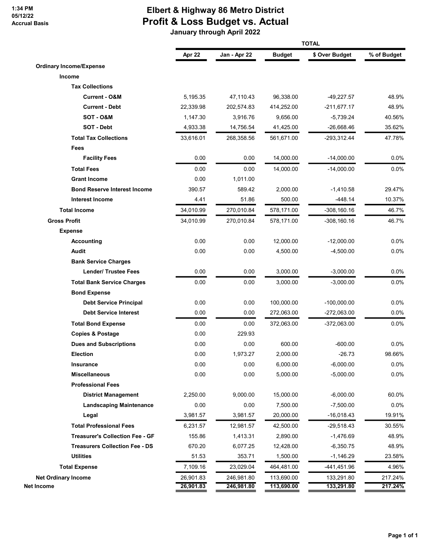#### 1:34 PM 05/12/22 Accrual Basis

#### Elbert & Highway 86 Metro District Profit & Loss Budget vs. Actual January through April 2022

TOTAL Apr 22 Jan - Apr 22 Budget \$ Over Budget % of Budget Ordinary Income/Expense Income Tax Collections **Current - O&M** 5,195.35 47,110.43 96,338.00 -49,227.57 48.9% Current - Debt 22,339.98 202,574.83 414,252.00 -211,677.17 48.9% **SOT - O&M** 1,147.30 3,916.76 9,656.00 -5,739.24 40.56% **SOT - Debt** 4,933.38 14,756.54 41,425.00 -26,668.46 35.62% Total Tax Collections **33,616.01** 268,358.56 561,671.00 -293,312.44 47.78% Fees Facility Fees 0.00 0.00 14,000.00 -14,000.00 0.0% **Total Fees** 0.00 0.00 0.00 0.00 14,000.00 -14,000.00 0.0% Grant Income 0.00 1,011.00 **Bond Reserve Interest Income** 390.57 589.42 2,000.00 -1.410.58 29.47% Interest Income 4.41 51.86 500.00 -448.14 10.37% Total Income 34,010.99 270,010.84 578,171.00 -308,160.16 46.7% Gross Profit 34,010.99 270,010.84 578,171.00 -308,160.16 46.7% Expense Accounting 0.00 0.00 0.00 12,000.00 -12,000.00 0.0% Audit 0.00 0.00 4,500.00 -4,500.00 0.0% Bank Service Charges **Lender/ Trustee Fees** 0.00 0.00 0.00 3,000.00 -3,000.00 0.0% Total Bank Service Charges  $0.00$  0.00  $3,000.00$  3,000.00  $-3,000.00$  0.0% Bond Expense **Debt Service Principal**  $0.00$  **0.00**  $100,000.00$  **-100,000.00 0.0% 0.0% Debt Service Interest** 0.00 0.00 0.00 272,063.00 -272,063.00 0.0% Total Bond Expense  $0.00$  0.00  $372,063.00$  372,063.00  $-372,063.00$  0.0% **Copies & Postage 0.00 229.93 Dues and Subscriptions**   $0.00$  0.00 0.00 0.00 0.00 0.00 0.0% 0.0% Election 0.00 1,973.27 2,000.00 -26.73 98.66% Insurance 0.00 0.00 6,000.00 -6,000.00 0.0% Miscellaneous 0.00 0.00 5,000.00 -5,000.00 0.0% Professional Fees **District Management** 2,250.00 9,000.00 15,000.00 -6,000.00 60.0% **Landscaping Maintenance**  $0.00$  0.00  $7,500.00$  7,500.00  $-7,500.00$  0.0% Legal 3,981.57 3,981.57 20,000.00 -16,018.43 19.91% **Total Professional Fees** 6.231.57 12.981.57 42.500.00 -29.518.43 30.55% **Treasurer's Collection Fee - GF** 155.86 1,413.31 2,890.00 -1,476.69 48.9% **Treasurers Collection Fee - DS** 670.20 6,077.25 12,428.00 -6,350.75 48.9% Utilities 51.53 353.71 1,500.00 -1,146.29 23.58% Total Expense **12.12 12.3 12.42 13.42 13.42 13.42 13.42** 109.16 13.423,029.04 164,481.00 14.441,451.96 14.96% Net Ordinary Income 26,901.83 246,981.80 113,690.00 133,291.80 217.24% Net Income 26,901.83 246,981.80 113,690.00 133,291.80 217.24%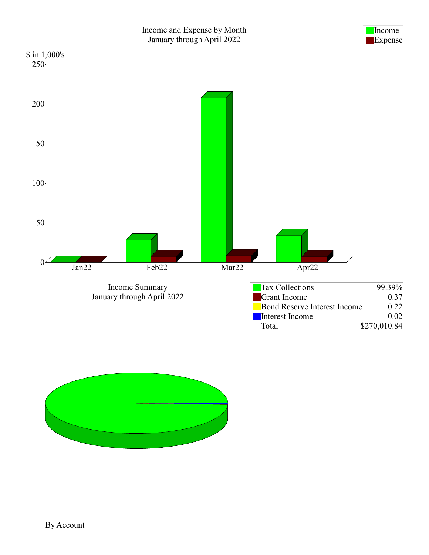

Income



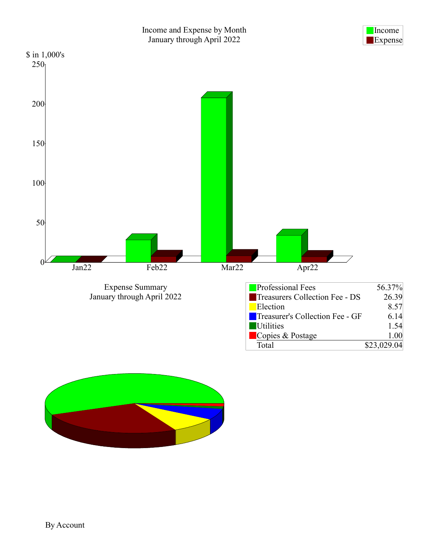

Income